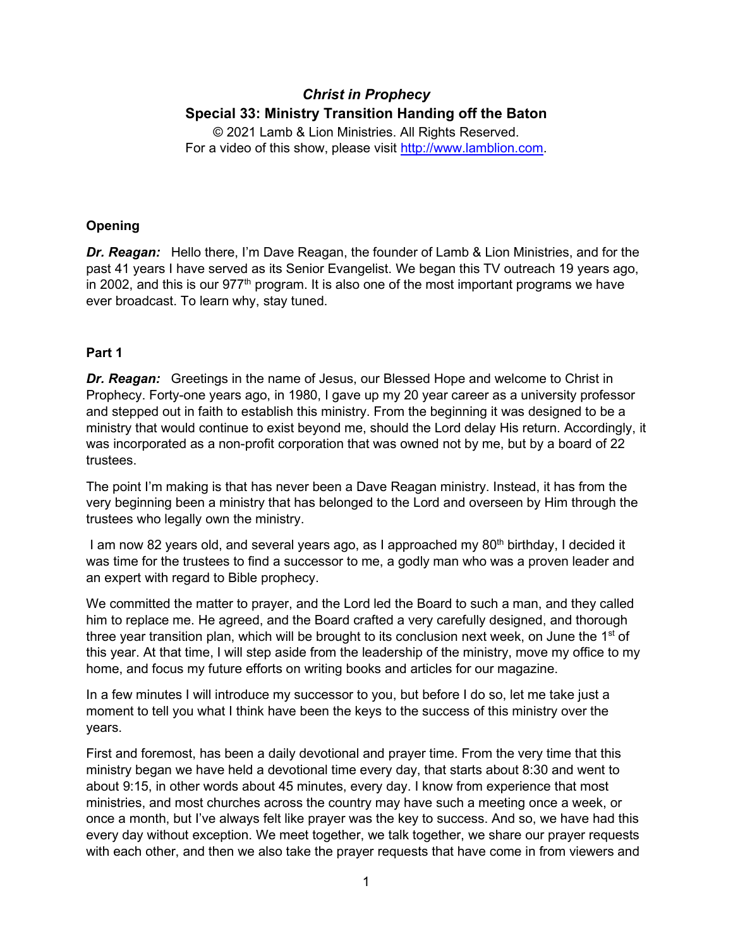# *Christ in Prophecy* **Special 33: Ministry Transition Handing off the Baton**

© 2021 Lamb & Lion Ministries. All Rights Reserved. For a video of this show, please visit [http://www.lamblion.com.](http://www.lamblion.com/)

## **Opening**

*Dr. Reagan:* Hello there, I'm Dave Reagan, the founder of Lamb & Lion Ministries, and for the past 41 years I have served as its Senior Evangelist. We began this TV outreach 19 years ago, in 2002, and this is our  $977<sup>th</sup>$  program. It is also one of the most important programs we have ever broadcast. To learn why, stay tuned.

## **Part 1**

*Dr. Reagan:* Greetings in the name of Jesus, our Blessed Hope and welcome to Christ in Prophecy. Forty-one years ago, in 1980, I gave up my 20 year career as a university professor and stepped out in faith to establish this ministry. From the beginning it was designed to be a ministry that would continue to exist beyond me, should the Lord delay His return. Accordingly, it was incorporated as a non-profit corporation that was owned not by me, but by a board of 22 trustees.

The point I'm making is that has never been a Dave Reagan ministry. Instead, it has from the very beginning been a ministry that has belonged to the Lord and overseen by Him through the trustees who legally own the ministry.

I am now 82 years old, and several years ago, as I approached my 80<sup>th</sup> birthday, I decided it was time for the trustees to find a successor to me, a godly man who was a proven leader and an expert with regard to Bible prophecy.

We committed the matter to prayer, and the Lord led the Board to such a man, and they called him to replace me. He agreed, and the Board crafted a very carefully designed, and thorough three year transition plan, which will be brought to its conclusion next week, on June the  $1<sup>st</sup>$  of this year. At that time, I will step aside from the leadership of the ministry, move my office to my home, and focus my future efforts on writing books and articles for our magazine.

In a few minutes I will introduce my successor to you, but before I do so, let me take just a moment to tell you what I think have been the keys to the success of this ministry over the years.

First and foremost, has been a daily devotional and prayer time. From the very time that this ministry began we have held a devotional time every day, that starts about 8:30 and went to about 9:15, in other words about 45 minutes, every day. I know from experience that most ministries, and most churches across the country may have such a meeting once a week, or once a month, but I've always felt like prayer was the key to success. And so, we have had this every day without exception. We meet together, we talk together, we share our prayer requests with each other, and then we also take the prayer requests that have come in from viewers and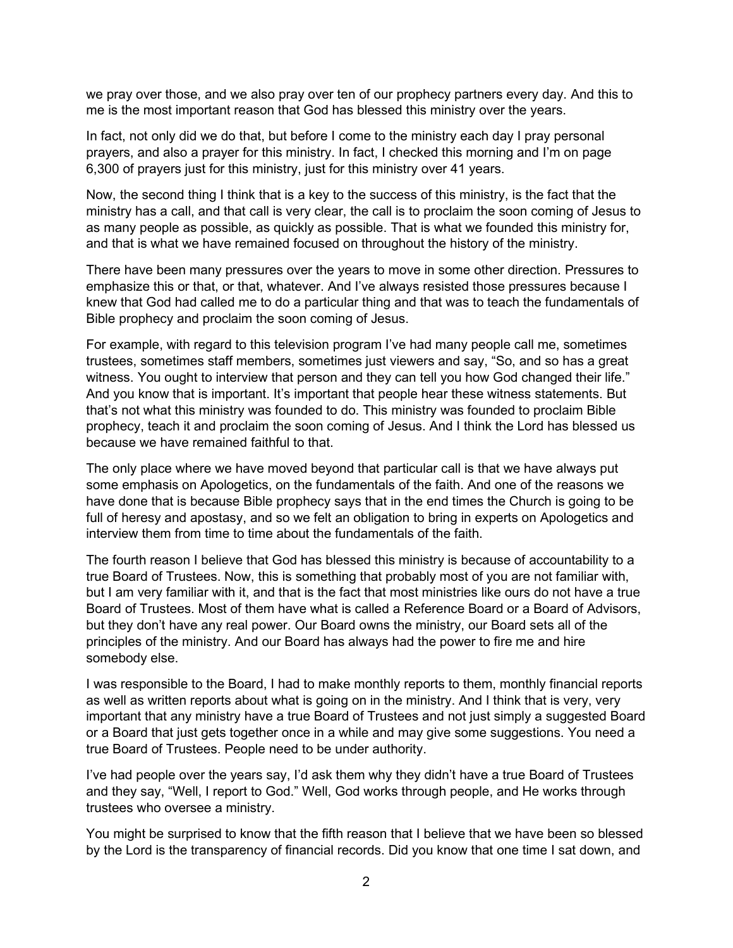we pray over those, and we also pray over ten of our prophecy partners every day. And this to me is the most important reason that God has blessed this ministry over the years.

In fact, not only did we do that, but before I come to the ministry each day I pray personal prayers, and also a prayer for this ministry. In fact, I checked this morning and I'm on page 6,300 of prayers just for this ministry, just for this ministry over 41 years.

Now, the second thing I think that is a key to the success of this ministry, is the fact that the ministry has a call, and that call is very clear, the call is to proclaim the soon coming of Jesus to as many people as possible, as quickly as possible. That is what we founded this ministry for, and that is what we have remained focused on throughout the history of the ministry.

There have been many pressures over the years to move in some other direction. Pressures to emphasize this or that, or that, whatever. And I've always resisted those pressures because I knew that God had called me to do a particular thing and that was to teach the fundamentals of Bible prophecy and proclaim the soon coming of Jesus.

For example, with regard to this television program I've had many people call me, sometimes trustees, sometimes staff members, sometimes just viewers and say, "So, and so has a great witness. You ought to interview that person and they can tell you how God changed their life." And you know that is important. It's important that people hear these witness statements. But that's not what this ministry was founded to do. This ministry was founded to proclaim Bible prophecy, teach it and proclaim the soon coming of Jesus. And I think the Lord has blessed us because we have remained faithful to that.

The only place where we have moved beyond that particular call is that we have always put some emphasis on Apologetics, on the fundamentals of the faith. And one of the reasons we have done that is because Bible prophecy says that in the end times the Church is going to be full of heresy and apostasy, and so we felt an obligation to bring in experts on Apologetics and interview them from time to time about the fundamentals of the faith.

The fourth reason I believe that God has blessed this ministry is because of accountability to a true Board of Trustees. Now, this is something that probably most of you are not familiar with, but I am very familiar with it, and that is the fact that most ministries like ours do not have a true Board of Trustees. Most of them have what is called a Reference Board or a Board of Advisors, but they don't have any real power. Our Board owns the ministry, our Board sets all of the principles of the ministry. And our Board has always had the power to fire me and hire somebody else.

I was responsible to the Board, I had to make monthly reports to them, monthly financial reports as well as written reports about what is going on in the ministry. And I think that is very, very important that any ministry have a true Board of Trustees and not just simply a suggested Board or a Board that just gets together once in a while and may give some suggestions. You need a true Board of Trustees. People need to be under authority.

I've had people over the years say, I'd ask them why they didn't have a true Board of Trustees and they say, "Well, I report to God." Well, God works through people, and He works through trustees who oversee a ministry.

You might be surprised to know that the fifth reason that I believe that we have been so blessed by the Lord is the transparency of financial records. Did you know that one time I sat down, and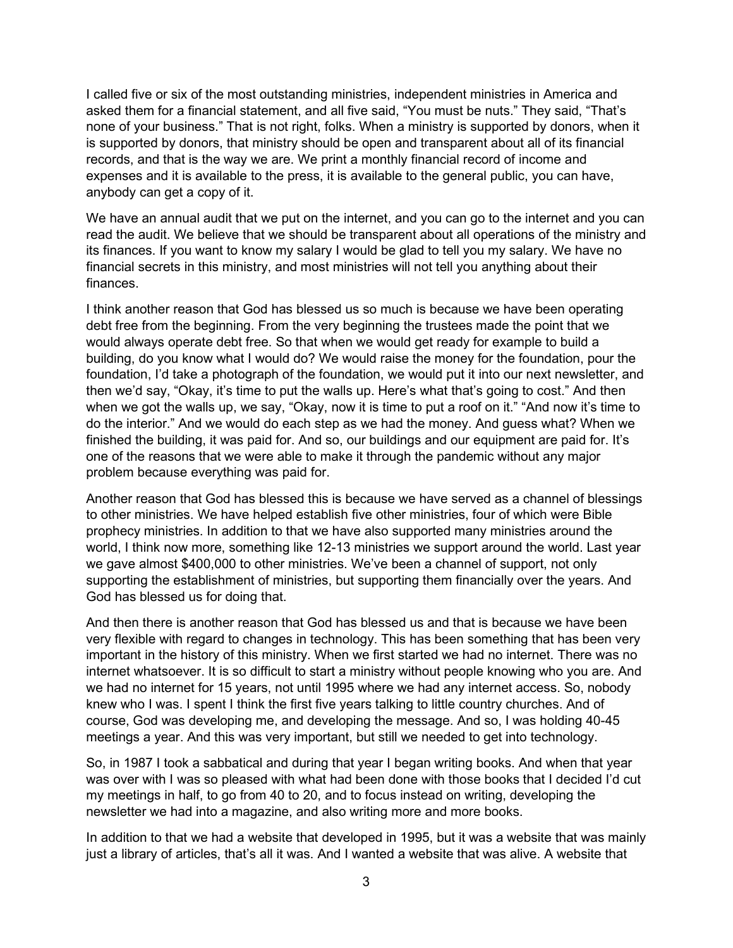I called five or six of the most outstanding ministries, independent ministries in America and asked them for a financial statement, and all five said, "You must be nuts." They said, "That's none of your business." That is not right, folks. When a ministry is supported by donors, when it is supported by donors, that ministry should be open and transparent about all of its financial records, and that is the way we are. We print a monthly financial record of income and expenses and it is available to the press, it is available to the general public, you can have, anybody can get a copy of it.

We have an annual audit that we put on the internet, and you can go to the internet and you can read the audit. We believe that we should be transparent about all operations of the ministry and its finances. If you want to know my salary I would be glad to tell you my salary. We have no financial secrets in this ministry, and most ministries will not tell you anything about their finances.

I think another reason that God has blessed us so much is because we have been operating debt free from the beginning. From the very beginning the trustees made the point that we would always operate debt free. So that when we would get ready for example to build a building, do you know what I would do? We would raise the money for the foundation, pour the foundation, I'd take a photograph of the foundation, we would put it into our next newsletter, and then we'd say, "Okay, it's time to put the walls up. Here's what that's going to cost." And then when we got the walls up, we say, "Okay, now it is time to put a roof on it." "And now it's time to do the interior." And we would do each step as we had the money. And guess what? When we finished the building, it was paid for. And so, our buildings and our equipment are paid for. It's one of the reasons that we were able to make it through the pandemic without any major problem because everything was paid for.

Another reason that God has blessed this is because we have served as a channel of blessings to other ministries. We have helped establish five other ministries, four of which were Bible prophecy ministries. In addition to that we have also supported many ministries around the world, I think now more, something like 12-13 ministries we support around the world. Last year we gave almost \$400,000 to other ministries. We've been a channel of support, not only supporting the establishment of ministries, but supporting them financially over the years. And God has blessed us for doing that.

And then there is another reason that God has blessed us and that is because we have been very flexible with regard to changes in technology. This has been something that has been very important in the history of this ministry. When we first started we had no internet. There was no internet whatsoever. It is so difficult to start a ministry without people knowing who you are. And we had no internet for 15 years, not until 1995 where we had any internet access. So, nobody knew who I was. I spent I think the first five years talking to little country churches. And of course, God was developing me, and developing the message. And so, I was holding 40-45 meetings a year. And this was very important, but still we needed to get into technology.

So, in 1987 I took a sabbatical and during that year I began writing books. And when that year was over with I was so pleased with what had been done with those books that I decided I'd cut my meetings in half, to go from 40 to 20, and to focus instead on writing, developing the newsletter we had into a magazine, and also writing more and more books.

In addition to that we had a website that developed in 1995, but it was a website that was mainly just a library of articles, that's all it was. And I wanted a website that was alive. A website that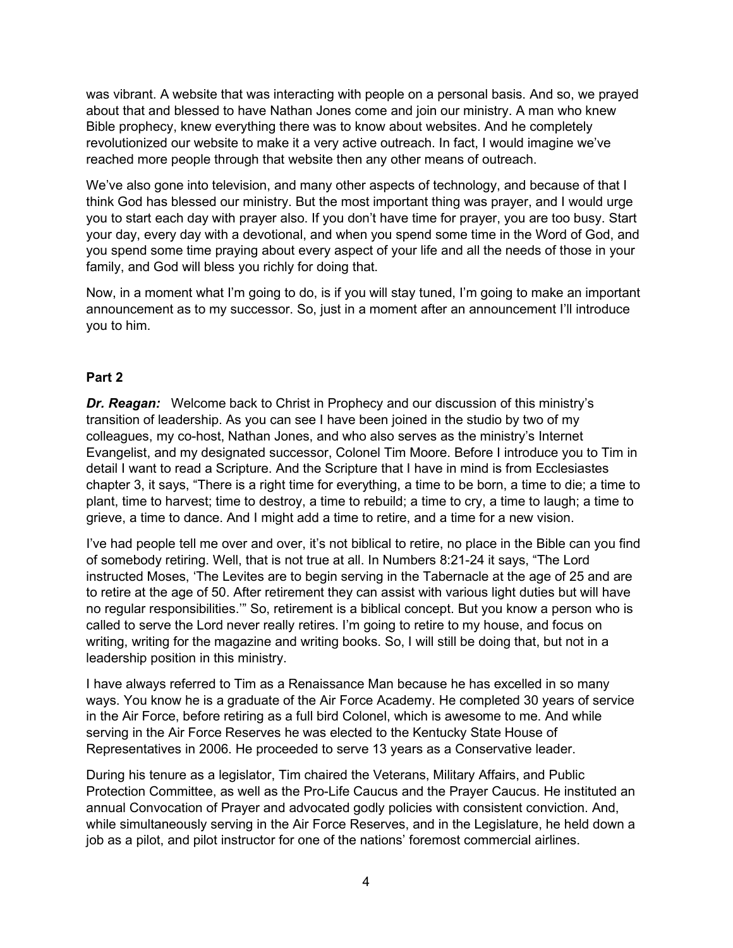was vibrant. A website that was interacting with people on a personal basis. And so, we prayed about that and blessed to have Nathan Jones come and join our ministry. A man who knew Bible prophecy, knew everything there was to know about websites. And he completely revolutionized our website to make it a very active outreach. In fact, I would imagine we've reached more people through that website then any other means of outreach.

We've also gone into television, and many other aspects of technology, and because of that I think God has blessed our ministry. But the most important thing was prayer, and I would urge you to start each day with prayer also. If you don't have time for prayer, you are too busy. Start your day, every day with a devotional, and when you spend some time in the Word of God, and you spend some time praying about every aspect of your life and all the needs of those in your family, and God will bless you richly for doing that.

Now, in a moment what I'm going to do, is if you will stay tuned, I'm going to make an important announcement as to my successor. So, just in a moment after an announcement I'll introduce you to him.

#### **Part 2**

*Dr. Reagan:* Welcome back to Christ in Prophecy and our discussion of this ministry's transition of leadership. As you can see I have been joined in the studio by two of my colleagues, my co-host, Nathan Jones, and who also serves as the ministry's Internet Evangelist, and my designated successor, Colonel Tim Moore. Before I introduce you to Tim in detail I want to read a Scripture. And the Scripture that I have in mind is from Ecclesiastes chapter 3, it says, "There is a right time for everything, a time to be born, a time to die; a time to plant, time to harvest; time to destroy, a time to rebuild; a time to cry, a time to laugh; a time to grieve, a time to dance. And I might add a time to retire, and a time for a new vision.

I've had people tell me over and over, it's not biblical to retire, no place in the Bible can you find of somebody retiring. Well, that is not true at all. In Numbers 8:21-24 it says, "The Lord instructed Moses, 'The Levites are to begin serving in the Tabernacle at the age of 25 and are to retire at the age of 50. After retirement they can assist with various light duties but will have no regular responsibilities.'" So, retirement is a biblical concept. But you know a person who is called to serve the Lord never really retires. I'm going to retire to my house, and focus on writing, writing for the magazine and writing books. So, I will still be doing that, but not in a leadership position in this ministry.

I have always referred to Tim as a Renaissance Man because he has excelled in so many ways. You know he is a graduate of the Air Force Academy. He completed 30 years of service in the Air Force, before retiring as a full bird Colonel, which is awesome to me. And while serving in the Air Force Reserves he was elected to the Kentucky State House of Representatives in 2006. He proceeded to serve 13 years as a Conservative leader.

During his tenure as a legislator, Tim chaired the Veterans, Military Affairs, and Public Protection Committee, as well as the Pro-Life Caucus and the Prayer Caucus. He instituted an annual Convocation of Prayer and advocated godly policies with consistent conviction. And, while simultaneously serving in the Air Force Reserves, and in the Legislature, he held down a job as a pilot, and pilot instructor for one of the nations' foremost commercial airlines.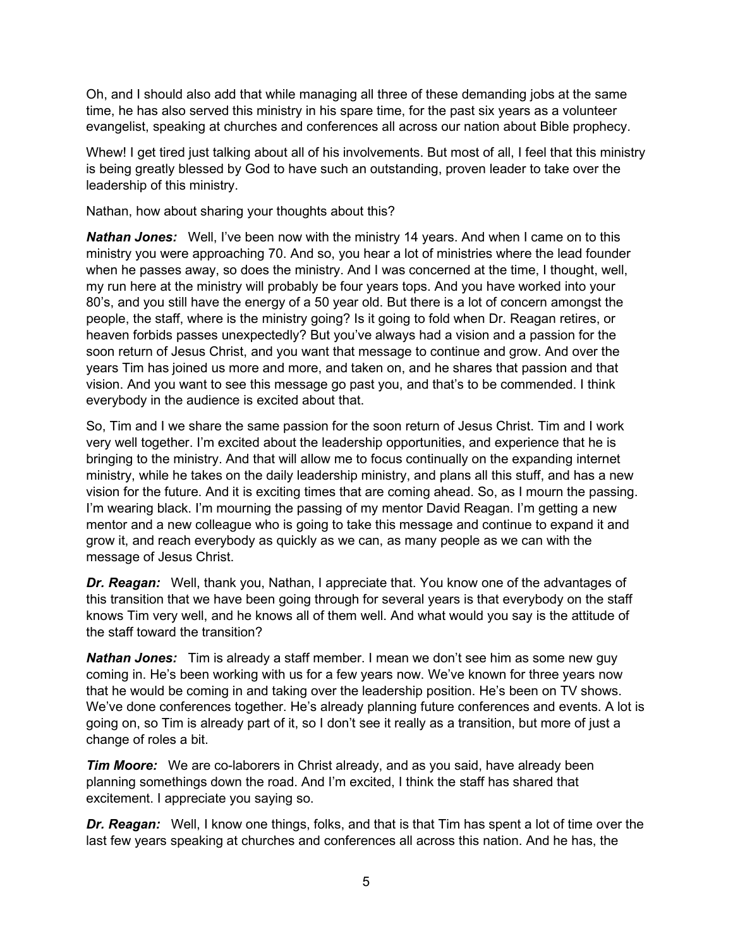Oh, and I should also add that while managing all three of these demanding jobs at the same time, he has also served this ministry in his spare time, for the past six years as a volunteer evangelist, speaking at churches and conferences all across our nation about Bible prophecy.

Whew! I get tired just talking about all of his involvements. But most of all, I feel that this ministry is being greatly blessed by God to have such an outstanding, proven leader to take over the leadership of this ministry.

Nathan, how about sharing your thoughts about this?

*Nathan Jones:* Well, I've been now with the ministry 14 years. And when I came on to this ministry you were approaching 70. And so, you hear a lot of ministries where the lead founder when he passes away, so does the ministry. And I was concerned at the time, I thought, well, my run here at the ministry will probably be four years tops. And you have worked into your 80's, and you still have the energy of a 50 year old. But there is a lot of concern amongst the people, the staff, where is the ministry going? Is it going to fold when Dr. Reagan retires, or heaven forbids passes unexpectedly? But you've always had a vision and a passion for the soon return of Jesus Christ, and you want that message to continue and grow. And over the years Tim has joined us more and more, and taken on, and he shares that passion and that vision. And you want to see this message go past you, and that's to be commended. I think everybody in the audience is excited about that.

So, Tim and I we share the same passion for the soon return of Jesus Christ. Tim and I work very well together. I'm excited about the leadership opportunities, and experience that he is bringing to the ministry. And that will allow me to focus continually on the expanding internet ministry, while he takes on the daily leadership ministry, and plans all this stuff, and has a new vision for the future. And it is exciting times that are coming ahead. So, as I mourn the passing. I'm wearing black. I'm mourning the passing of my mentor David Reagan. I'm getting a new mentor and a new colleague who is going to take this message and continue to expand it and grow it, and reach everybody as quickly as we can, as many people as we can with the message of Jesus Christ.

*Dr. Reagan:* Well, thank you, Nathan, I appreciate that. You know one of the advantages of this transition that we have been going through for several years is that everybody on the staff knows Tim very well, and he knows all of them well. And what would you say is the attitude of the staff toward the transition?

*Nathan Jones:* Tim is already a staff member. I mean we don't see him as some new guy coming in. He's been working with us for a few years now. We've known for three years now that he would be coming in and taking over the leadership position. He's been on TV shows. We've done conferences together. He's already planning future conferences and events. A lot is going on, so Tim is already part of it, so I don't see it really as a transition, but more of just a change of roles a bit.

*Tim Moore:* We are co-laborers in Christ already, and as you said, have already been planning somethings down the road. And I'm excited, I think the staff has shared that excitement. I appreciate you saying so.

*Dr. Reagan:* Well, I know one things, folks, and that is that Tim has spent a lot of time over the last few years speaking at churches and conferences all across this nation. And he has, the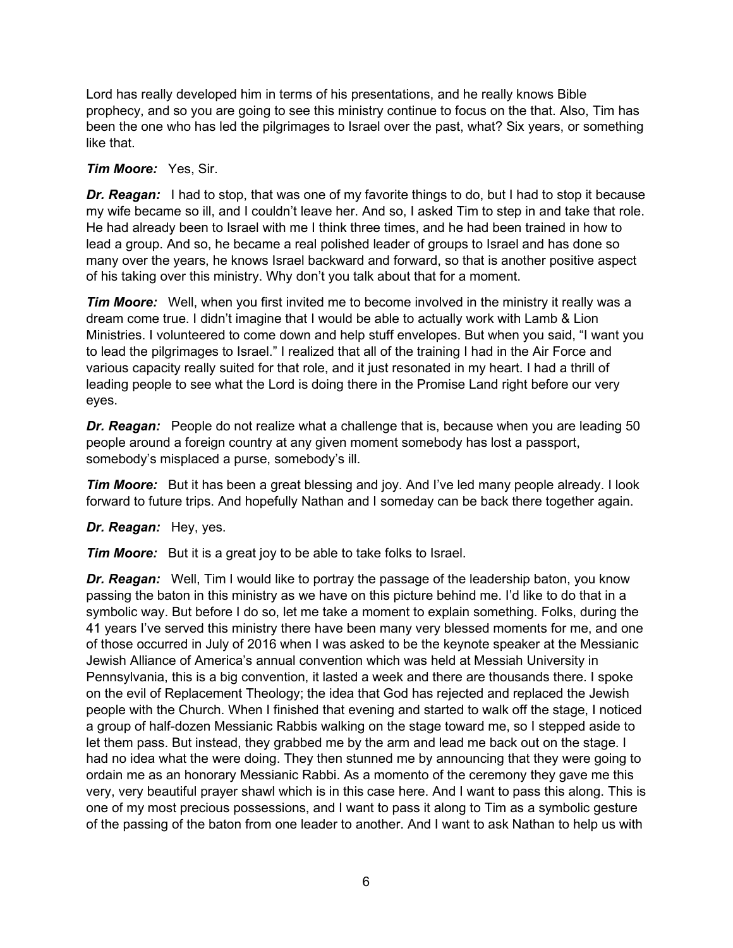Lord has really developed him in terms of his presentations, and he really knows Bible prophecy, and so you are going to see this ministry continue to focus on the that. Also, Tim has been the one who has led the pilgrimages to Israel over the past, what? Six years, or something like that.

### *Tim Moore:* Yes, Sir.

*Dr. Reagan:* I had to stop, that was one of my favorite things to do, but I had to stop it because my wife became so ill, and I couldn't leave her. And so, I asked Tim to step in and take that role. He had already been to Israel with me I think three times, and he had been trained in how to lead a group. And so, he became a real polished leader of groups to Israel and has done so many over the years, he knows Israel backward and forward, so that is another positive aspect of his taking over this ministry. Why don't you talk about that for a moment.

*Tim Moore:* Well, when you first invited me to become involved in the ministry it really was a dream come true. I didn't imagine that I would be able to actually work with Lamb & Lion Ministries. I volunteered to come down and help stuff envelopes. But when you said, "I want you to lead the pilgrimages to Israel." I realized that all of the training I had in the Air Force and various capacity really suited for that role, and it just resonated in my heart. I had a thrill of leading people to see what the Lord is doing there in the Promise Land right before our very eyes.

*Dr. Reagan:* People do not realize what a challenge that is, because when you are leading 50 people around a foreign country at any given moment somebody has lost a passport, somebody's misplaced a purse, somebody's ill.

*Tim Moore:* But it has been a great blessing and joy. And I've led many people already. I look forward to future trips. And hopefully Nathan and I someday can be back there together again.

*Dr. Reagan:* Hey, yes.

*Tim Moore:* But it is a great joy to be able to take folks to Israel.

**Dr. Reagan:** Well, Tim I would like to portray the passage of the leadership baton, you know passing the baton in this ministry as we have on this picture behind me. I'd like to do that in a symbolic way. But before I do so, let me take a moment to explain something. Folks, during the 41 years I've served this ministry there have been many very blessed moments for me, and one of those occurred in July of 2016 when I was asked to be the keynote speaker at the Messianic Jewish Alliance of America's annual convention which was held at Messiah University in Pennsylvania, this is a big convention, it lasted a week and there are thousands there. I spoke on the evil of Replacement Theology; the idea that God has rejected and replaced the Jewish people with the Church. When I finished that evening and started to walk off the stage, I noticed a group of half-dozen Messianic Rabbis walking on the stage toward me, so I stepped aside to let them pass. But instead, they grabbed me by the arm and lead me back out on the stage. I had no idea what the were doing. They then stunned me by announcing that they were going to ordain me as an honorary Messianic Rabbi. As a momento of the ceremony they gave me this very, very beautiful prayer shawl which is in this case here. And I want to pass this along. This is one of my most precious possessions, and I want to pass it along to Tim as a symbolic gesture of the passing of the baton from one leader to another. And I want to ask Nathan to help us with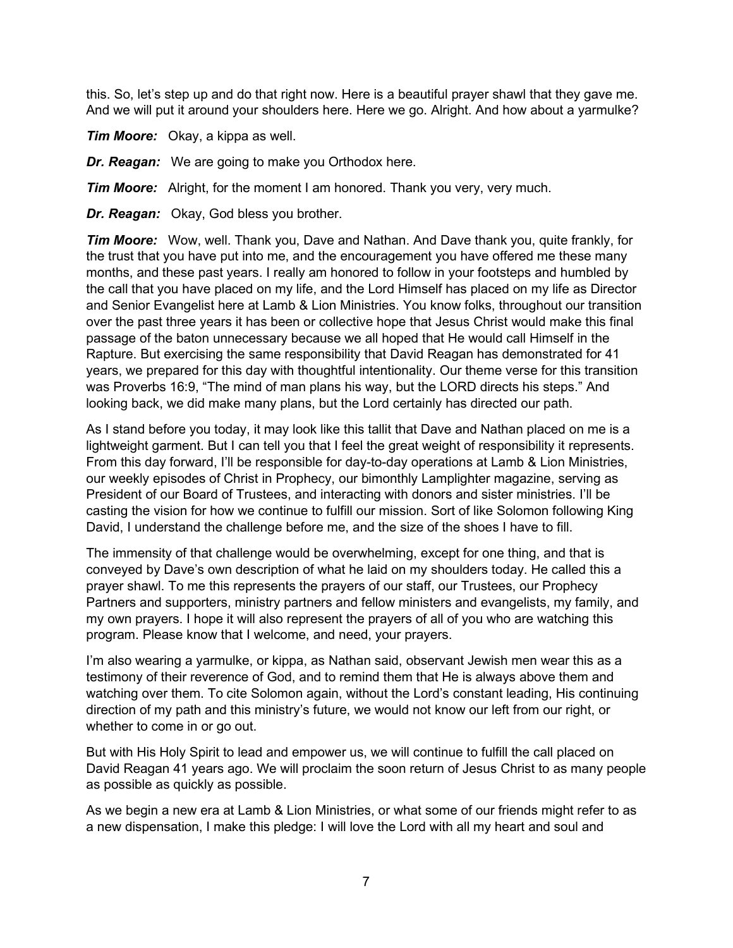this. So, let's step up and do that right now. Here is a beautiful prayer shawl that they gave me. And we will put it around your shoulders here. Here we go. Alright. And how about a yarmulke?

*Tim Moore:* Okay, a kippa as well.

*Dr. Reagan:* We are going to make you Orthodox here.

*Tim Moore:* Alright, for the moment I am honored. Thank you very, very much.

*Dr. Reagan:* Okay, God bless you brother.

*Tim Moore:* Wow, well. Thank you, Dave and Nathan. And Dave thank you, quite frankly, for the trust that you have put into me, and the encouragement you have offered me these many months, and these past years. I really am honored to follow in your footsteps and humbled by the call that you have placed on my life, and the Lord Himself has placed on my life as Director and Senior Evangelist here at Lamb & Lion Ministries. You know folks, throughout our transition over the past three years it has been or collective hope that Jesus Christ would make this final passage of the baton unnecessary because we all hoped that He would call Himself in the Rapture. But exercising the same responsibility that David Reagan has demonstrated for 41 years, we prepared for this day with thoughtful intentionality. Our theme verse for this transition was Proverbs 16:9, "The mind of man plans his way, but the LORD directs his steps." And looking back, we did make many plans, but the Lord certainly has directed our path.

As I stand before you today, it may look like this tallit that Dave and Nathan placed on me is a lightweight garment. But I can tell you that I feel the great weight of responsibility it represents. From this day forward, I'll be responsible for day-to-day operations at Lamb & Lion Ministries, our weekly episodes of Christ in Prophecy, our bimonthly Lamplighter magazine, serving as President of our Board of Trustees, and interacting with donors and sister ministries. I'll be casting the vision for how we continue to fulfill our mission. Sort of like Solomon following King David, I understand the challenge before me, and the size of the shoes I have to fill.

The immensity of that challenge would be overwhelming, except for one thing, and that is conveyed by Dave's own description of what he laid on my shoulders today. He called this a prayer shawl. To me this represents the prayers of our staff, our Trustees, our Prophecy Partners and supporters, ministry partners and fellow ministers and evangelists, my family, and my own prayers. I hope it will also represent the prayers of all of you who are watching this program. Please know that I welcome, and need, your prayers.

I'm also wearing a yarmulke, or kippa, as Nathan said, observant Jewish men wear this as a testimony of their reverence of God, and to remind them that He is always above them and watching over them. To cite Solomon again, without the Lord's constant leading, His continuing direction of my path and this ministry's future, we would not know our left from our right, or whether to come in or go out.

But with His Holy Spirit to lead and empower us, we will continue to fulfill the call placed on David Reagan 41 years ago. We will proclaim the soon return of Jesus Christ to as many people as possible as quickly as possible.

As we begin a new era at Lamb & Lion Ministries, or what some of our friends might refer to as a new dispensation, I make this pledge: I will love the Lord with all my heart and soul and